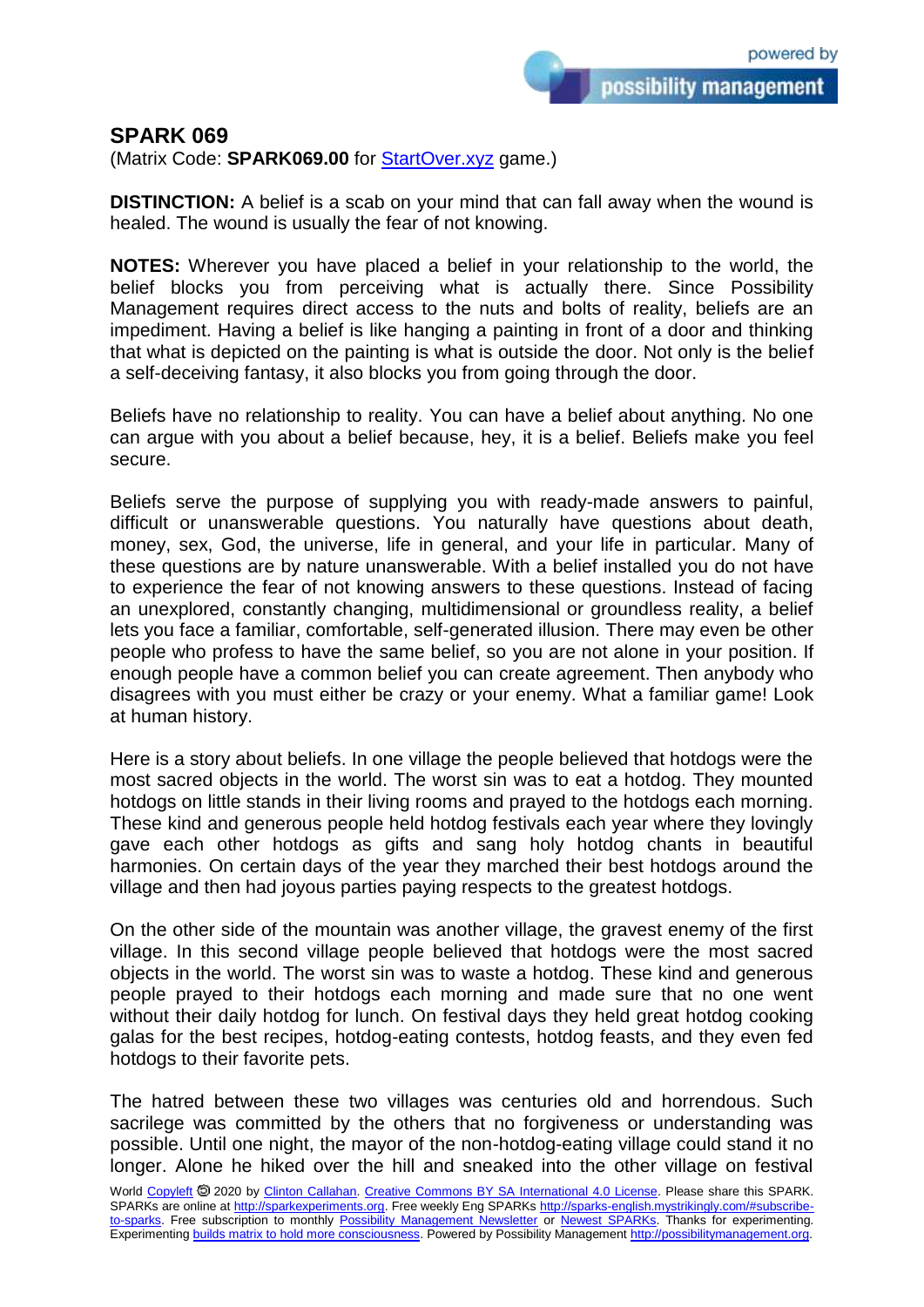possibility management

## **SPARK 069**

(Matrix Code: **SPARK069.00** for [StartOver.xyz](https://startoverxyz.mystrikingly.com/) game.)

**DISTINCTION:** A belief is a scab on your mind that can fall away when the wound is healed. The wound is usually the fear of not knowing.

**NOTES:** Wherever you have placed a belief in your relationship to the world, the belief blocks you from perceiving what is actually there. Since Possibility Management requires direct access to the nuts and bolts of reality, beliefs are an impediment. Having a belief is like hanging a painting in front of a door and thinking that what is depicted on the painting is what is outside the door. Not only is the belief a self-deceiving fantasy, it also blocks you from going through the door.

Beliefs have no relationship to reality. You can have a belief about anything. No one can argue with you about a belief because, hey, it is a belief. Beliefs make you feel secure.

Beliefs serve the purpose of supplying you with ready-made answers to painful, difficult or unanswerable questions. You naturally have questions about death, money, sex, God, the universe, life in general, and your life in particular. Many of these questions are by nature unanswerable. With a belief installed you do not have to experience the fear of not knowing answers to these questions. Instead of facing an unexplored, constantly changing, multidimensional or groundless reality, a belief lets you face a familiar, comfortable, self-generated illusion. There may even be other people who profess to have the same belief, so you are not alone in your position. If enough people have a common belief you can create agreement. Then anybody who disagrees with you must either be crazy or your enemy. What a familiar game! Look at human history.

Here is a story about beliefs. In one village the people believed that hotdogs were the most sacred objects in the world. The worst sin was to eat a hotdog. They mounted hotdogs on little stands in their living rooms and prayed to the hotdogs each morning. These kind and generous people held hotdog festivals each year where they lovingly gave each other hotdogs as gifts and sang holy hotdog chants in beautiful harmonies. On certain days of the year they marched their best hotdogs around the village and then had joyous parties paying respects to the greatest hotdogs.

On the other side of the mountain was another village, the gravest enemy of the first village. In this second village people believed that hotdogs were the most sacred objects in the world. The worst sin was to waste a hotdog. These kind and generous people prayed to their hotdogs each morning and made sure that no one went without their daily hotdog for lunch. On festival days they held great hotdog cooking galas for the best recipes, hotdog-eating contests, hotdog feasts, and they even fed hotdogs to their favorite pets.

The hatred between these two villages was centuries old and horrendous. Such sacrilege was committed by the others that no forgiveness or understanding was possible. Until one night, the mayor of the non-hotdog-eating village could stand it no longer. Alone he hiked over the hill and sneaked into the other village on festival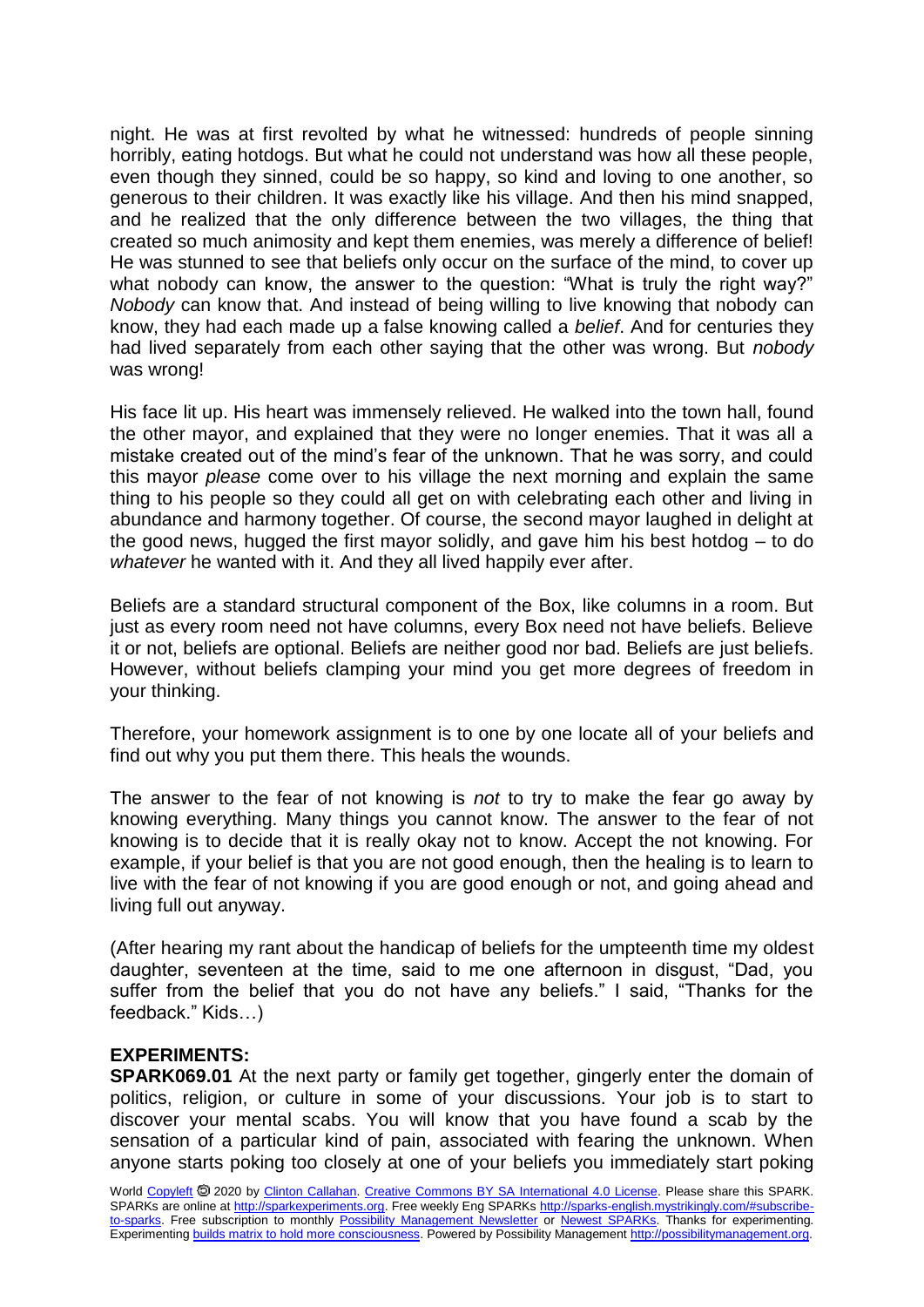night. He was at first revolted by what he witnessed: hundreds of people sinning horribly, eating hotdogs. But what he could not understand was how all these people, even though they sinned, could be so happy, so kind and loving to one another, so generous to their children. It was exactly like his village. And then his mind snapped, and he realized that the only difference between the two villages, the thing that created so much animosity and kept them enemies, was merely a difference of belief! He was stunned to see that beliefs only occur on the surface of the mind, to cover up what nobody can know, the answer to the question: "What is truly the right way?" *Nobody* can know that. And instead of being willing to live knowing that nobody can know, they had each made up a false knowing called a *belief*. And for centuries they had lived separately from each other saying that the other was wrong. But *nobody* was wrong!

His face lit up. His heart was immensely relieved. He walked into the town hall, found the other mayor, and explained that they were no longer enemies. That it was all a mistake created out of the mind's fear of the unknown. That he was sorry, and could this mayor *please* come over to his village the next morning and explain the same thing to his people so they could all get on with celebrating each other and living in abundance and harmony together. Of course, the second mayor laughed in delight at the good news, hugged the first mayor solidly, and gave him his best hotdog – to do *whatever* he wanted with it. And they all lived happily ever after.

Beliefs are a standard structural component of the Box, like columns in a room. But just as every room need not have columns, every Box need not have beliefs. Believe it or not, beliefs are optional. Beliefs are neither good nor bad. Beliefs are just beliefs. However, without beliefs clamping your mind you get more degrees of freedom in your thinking.

Therefore, your homework assignment is to one by one locate all of your beliefs and find out why you put them there. This heals the wounds.

The answer to the fear of not knowing is *not* to try to make the fear go away by knowing everything. Many things you cannot know. The answer to the fear of not knowing is to decide that it is really okay not to know. Accept the not knowing. For example, if your belief is that you are not good enough, then the healing is to learn to live with the fear of not knowing if you are good enough or not, and going ahead and living full out anyway.

(After hearing my rant about the handicap of beliefs for the umpteenth time my oldest daughter, seventeen at the time, said to me one afternoon in disgust, "Dad, you suffer from the belief that you do not have any beliefs." I said, "Thanks for the feedback." Kids…)

## **EXPERIMENTS:**

**SPARK069.01** At the next party or family get together, gingerly enter the domain of politics, religion, or culture in some of your discussions. Your job is to start to discover your mental scabs. You will know that you have found a scab by the sensation of a particular kind of pain, associated with fearing the unknown. When anyone starts poking too closely at one of your beliefs you immediately start poking